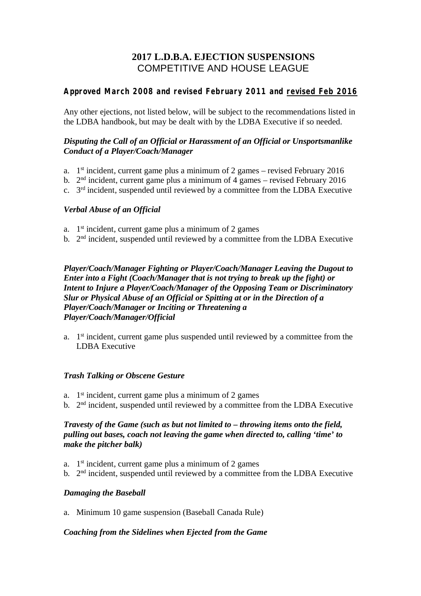# **2017 L.D.B.A. EJECTION SUSPENSIONS** COMPETITIVE AND HOUSE LEAGUE

# **Approved March 2008 and revised February 2011 and revised Feb 2016**

Any other ejections, not listed below, will be subject to the recommendations listed in the LDBA handbook, but may be dealt with by the LDBA Executive if so needed.

## *Disputing the Call of an Official or Harassment of an Official or Unsportsmanlike Conduct of a Player/Coach/Manager*

- a. 1 st incident, current game plus a minimum of 2 games revised February 2016
- b. 2<sup>nd</sup> incident, current game plus a minimum of 4 games revised February 2016
- c. 3<sup>rd</sup> incident, suspended until reviewed by a committee from the LDBA Executive

# *Verbal Abuse of an Official*

- a. 1 st incident, current game plus a minimum of 2 games
- b.  $2<sup>nd</sup>$  incident, suspended until reviewed by a committee from the LDBA Executive

*Player/Coach/Manager Fighting or Player/Coach/Manager Leaving the Dugout to Enter into a Fight (Coach/Manager that is not trying to break up the fight) or Intent to Injure a Player/Coach/Manager of the Opposing Team or Discriminatory Slur or Physical Abuse of an Official or Spitting at or in the Direction of a Player/Coach/Manager or Inciting or Threatening a Player/Coach/Manager/Official*

a.  $1<sup>st</sup>$  incident, current game plus suspended until reviewed by a committee from the LDBA Executive

#### *Trash Talking or Obscene Gesture*

- a. 1 st incident, current game plus a minimum of 2 games
- b.  $2<sup>nd</sup>$  incident, suspended until reviewed by a committee from the LDBA Executive

# *Travesty of the Game (such as but not limited to – throwing items onto the field, pulling out bases, coach not leaving the game when directed to, calling 'time' to make the pitcher balk)*

- a.  $1<sup>st</sup> incident, current game plus a minimum of 2 games$
- b.  $2<sup>nd</sup>$  incident, suspended until reviewed by a committee from the LDBA Executive

#### *Damaging the Baseball*

a. Minimum 10 game suspension (Baseball Canada Rule)

#### *Coaching from the Sidelines when Ejected from the Game*